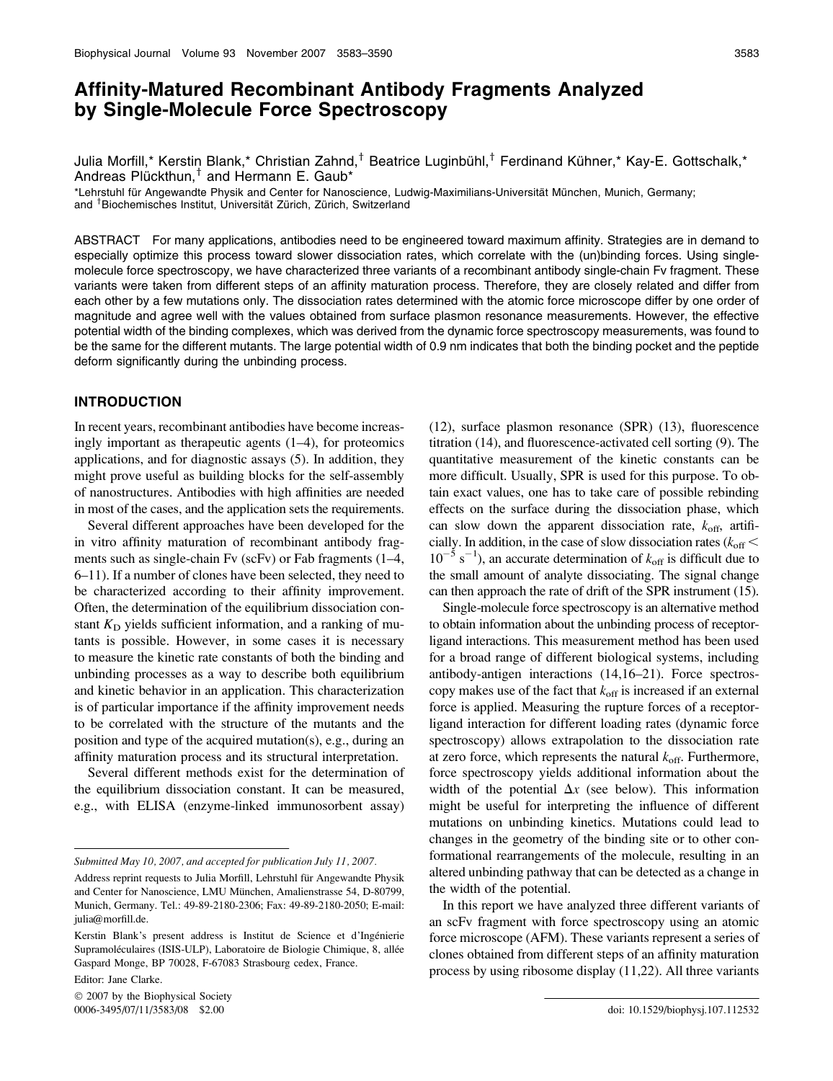# Affinity-Matured Recombinant Antibody Fragments Analyzed by Single-Molecule Force Spectroscopy

Julia Morfill,\* Kerstin Blank,\* Christian Zahnd,<sup>†</sup> Beatrice Luginbühl,<sup>†</sup> Ferdinand Kühner,\* Kay-E. Gottschalk,\* Andreas Plückthun,<sup>†</sup> and Hermann E. Gaub\*

\*Lehrstuhl für Angewandte Physik and Center for Nanoscience, Ludwig-Maximilians-Universität München, Munich, Germany; and <sup>†</sup>Biochemisches Institut, Universität Zürich, Zürich, Switzerland

ABSTRACT For many applications, antibodies need to be engineered toward maximum affinity. Strategies are in demand to especially optimize this process toward slower dissociation rates, which correlate with the (un)binding forces. Using singlemolecule force spectroscopy, we have characterized three variants of a recombinant antibody single-chain Fv fragment. These variants were taken from different steps of an affinity maturation process. Therefore, they are closely related and differ from each other by a few mutations only. The dissociation rates determined with the atomic force microscope differ by one order of magnitude and agree well with the values obtained from surface plasmon resonance measurements. However, the effective potential width of the binding complexes, which was derived from the dynamic force spectroscopy measurements, was found to be the same for the different mutants. The large potential width of 0.9 nm indicates that both the binding pocket and the peptide deform significantly during the unbinding process.

# INTRODUCTION

In recent years, recombinant antibodies have become increasingly important as therapeutic agents (1–4), for proteomics applications, and for diagnostic assays (5). In addition, they might prove useful as building blocks for the self-assembly of nanostructures. Antibodies with high affinities are needed in most of the cases, and the application sets the requirements.

Several different approaches have been developed for the in vitro affinity maturation of recombinant antibody fragments such as single-chain Fv (scFv) or Fab fragments (1–4, 6–11). If a number of clones have been selected, they need to be characterized according to their affinity improvement. Often, the determination of the equilibrium dissociation constant  $K_D$  yields sufficient information, and a ranking of mutants is possible. However, in some cases it is necessary to measure the kinetic rate constants of both the binding and unbinding processes as a way to describe both equilibrium and kinetic behavior in an application. This characterization is of particular importance if the affinity improvement needs to be correlated with the structure of the mutants and the position and type of the acquired mutation(s), e.g., during an affinity maturation process and its structural interpretation.

Several different methods exist for the determination of the equilibrium dissociation constant. It can be measured, e.g., with ELISA (enzyme-linked immunosorbent assay)

Editor: Jane Clarke.

 $© 2007$  by the Biophysical Society 0006-3495/07/11/3583/08 \$2.00

(12), surface plasmon resonance (SPR) (13), fluorescence titration (14), and fluorescence-activated cell sorting (9). The quantitative measurement of the kinetic constants can be more difficult. Usually, SPR is used for this purpose. To obtain exact values, one has to take care of possible rebinding effects on the surface during the dissociation phase, which can slow down the apparent dissociation rate,  $k_{\text{off}}$ , artificially. In addition, in the case of slow dissociation rates ( $k_{\text{off}}$  <  $10^{-5}$  s<sup>-1</sup>), an accurate determination of  $k_{\text{off}}$  is difficult due to the small amount of analyte dissociating. The signal change can then approach the rate of drift of the SPR instrument (15).

Single-molecule force spectroscopy is an alternative method to obtain information about the unbinding process of receptorligand interactions. This measurement method has been used for a broad range of different biological systems, including antibody-antigen interactions (14,16–21). Force spectroscopy makes use of the fact that  $k_{off}$  is increased if an external force is applied. Measuring the rupture forces of a receptorligand interaction for different loading rates (dynamic force spectroscopy) allows extrapolation to the dissociation rate at zero force, which represents the natural  $k_{\text{off}}$ . Furthermore, force spectroscopy yields additional information about the width of the potential  $\Delta x$  (see below). This information might be useful for interpreting the influence of different mutations on unbinding kinetics. Mutations could lead to changes in the geometry of the binding site or to other conformational rearrangements of the molecule, resulting in an altered unbinding pathway that can be detected as a change in the width of the potential.

In this report we have analyzed three different variants of an scFv fragment with force spectroscopy using an atomic force microscope (AFM). These variants represent a series of clones obtained from different steps of an affinity maturation process by using ribosome display (11,22). All three variants

Submitted May 10, 2007, and accepted for publication July 11, 2007.

Address reprint requests to Julia Morfill, Lehrstuhl für Angewandte Physik and Center for Nanoscience, LMU München, Amalienstrasse 54, D-80799, Munich, Germany. Tel.: 49-89-2180-2306; Fax: 49-89-2180-2050; E-mail: julia@morfill.de.

Kerstin Blank's present address is Institut de Science et d'Ingénierie Supramoléculaires (ISIS-ULP), Laboratoire de Biologie Chimique, 8, allée Gaspard Monge, BP 70028, F-67083 Strasbourg cedex, France.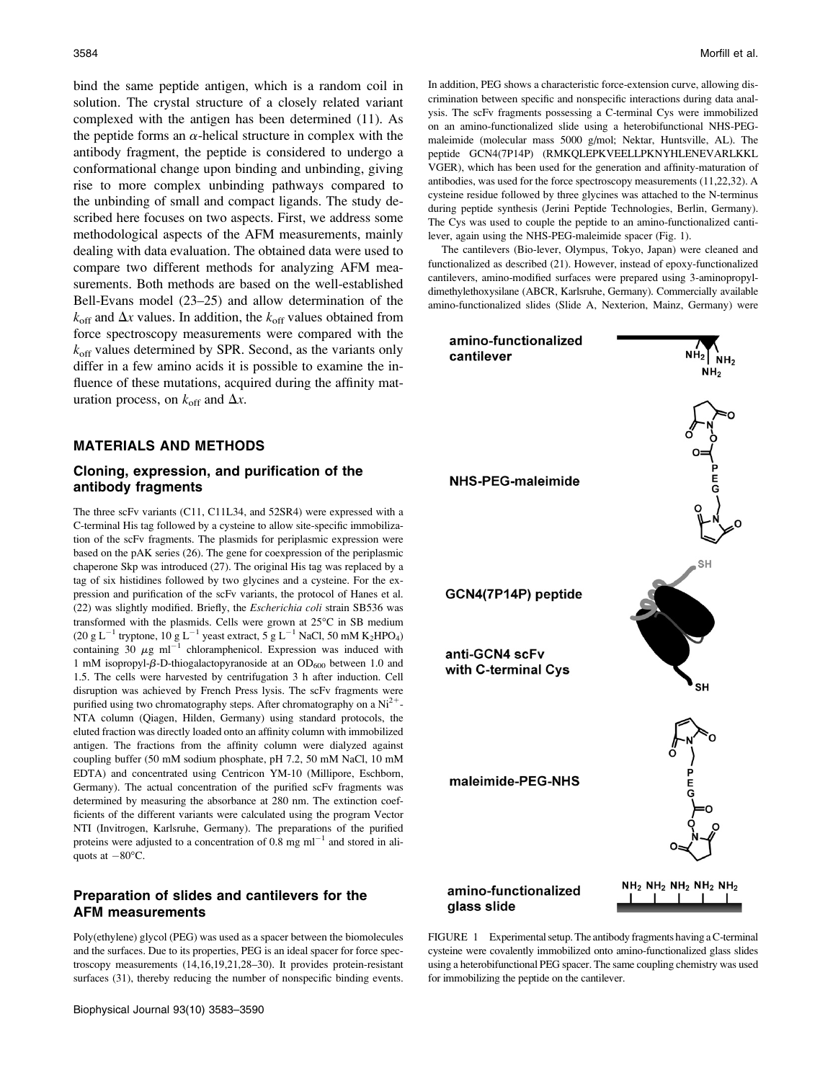bind the same peptide antigen, which is a random coil in solution. The crystal structure of a closely related variant complexed with the antigen has been determined (11). As the peptide forms an  $\alpha$ -helical structure in complex with the antibody fragment, the peptide is considered to undergo a conformational change upon binding and unbinding, giving rise to more complex unbinding pathways compared to the unbinding of small and compact ligands. The study described here focuses on two aspects. First, we address some methodological aspects of the AFM measurements, mainly dealing with data evaluation. The obtained data were used to compare two different methods for analyzing AFM measurements. Both methods are based on the well-established Bell-Evans model (23–25) and allow determination of the  $k_{\text{off}}$  and  $\Delta x$  values. In addition, the  $k_{\text{off}}$  values obtained from force spectroscopy measurements were compared with the  $k_{\text{off}}$  values determined by SPR. Second, as the variants only differ in a few amino acids it is possible to examine the influence of these mutations, acquired during the affinity maturation process, on  $k_{\text{off}}$  and  $\Delta x$ .

# MATERIALS AND METHODS

# Cloning, expression, and purification of the antibody fragments

The three scFv variants (C11, C11L34, and 52SR4) were expressed with a C-terminal His tag followed by a cysteine to allow site-specific immobilization of the scFv fragments. The plasmids for periplasmic expression were based on the pAK series (26). The gene for coexpression of the periplasmic chaperone Skp was introduced (27). The original His tag was replaced by a tag of six histidines followed by two glycines and a cysteine. For the expression and purification of the scFv variants, the protocol of Hanes et al. (22) was slightly modified. Briefly, the Escherichia coli strain SB536 was transformed with the plasmids. Cells were grown at  $25^{\circ}$ C in SB medium (20 g L $^{-1}$  tryptone, 10 g L $^{-1}$  yeast extract, 5 g L $^{-1}$  NaCl, 50 mM K<sub>2</sub>HPO<sub>4</sub>) containing 30  $\mu$ g ml<sup>-1</sup> chloramphenicol. Expression was induced with 1 mM isopropyl- $\beta$ -D-thiogalactopyranoside at an OD<sub>600</sub> between 1.0 and 1.5. The cells were harvested by centrifugation 3 h after induction. Cell disruption was achieved by French Press lysis. The scFv fragments were purified using two chromatography steps. After chromatography on a  $Ni<sup>2+</sup>$ -NTA column (Qiagen, Hilden, Germany) using standard protocols, the eluted fraction was directly loaded onto an affinity column with immobilized antigen. The fractions from the affinity column were dialyzed against coupling buffer (50 mM sodium phosphate, pH 7.2, 50 mM NaCl, 10 mM EDTA) and concentrated using Centricon YM-10 (Millipore, Eschborn, Germany). The actual concentration of the purified scFv fragments was determined by measuring the absorbance at 280 nm. The extinction coefficients of the different variants were calculated using the program Vector NTI (Invitrogen, Karlsruhe, Germany). The preparations of the purified proteins were adjusted to a concentration of  $0.8 \text{ mg ml}^{-1}$  and stored in aliquots at  $-80^{\circ}$ C.

# Preparation of slides and cantilevers for the AFM measurements

Poly(ethylene) glycol (PEG) was used as a spacer between the biomolecules and the surfaces. Due to its properties, PEG is an ideal spacer for force spectroscopy measurements (14,16,19,21,28–30). It provides protein-resistant surfaces (31), thereby reducing the number of nonspecific binding events. In addition, PEG shows a characteristic force-extension curve, allowing discrimination between specific and nonspecific interactions during data analysis. The scFv fragments possessing a C-terminal Cys were immobilized on an amino-functionalized slide using a heterobifunctional NHS-PEGmaleimide (molecular mass 5000 g/mol; Nektar, Huntsville, AL). The peptide GCN4(7P14P) (RMKQLEPKVEELLPKNYHLENEVARLKKL VGER), which has been used for the generation and affinity-maturation of antibodies, was used for the force spectroscopy measurements (11,22,32). A cysteine residue followed by three glycines was attached to the N-terminus during peptide synthesis (Jerini Peptide Technologies, Berlin, Germany). The Cys was used to couple the peptide to an amino-functionalized cantilever, again using the NHS-PEG-maleimide spacer (Fig. 1).

The cantilevers (Bio-lever, Olympus, Tokyo, Japan) were cleaned and functionalized as described (21). However, instead of epoxy-functionalized cantilevers, amino-modified surfaces were prepared using 3-aminopropyldimethylethoxysilane (ABCR, Karlsruhe, Germany). Commercially available amino-functionalized slides (Slide A, Nexterion, Mainz, Germany) were



FIGURE 1 Experimental setup. The antibody fragments having a C-terminal cysteine were covalently immobilized onto amino-functionalized glass slides using a heterobifunctional PEG spacer. The same coupling chemistry was used for immobilizing the peptide on the cantilever.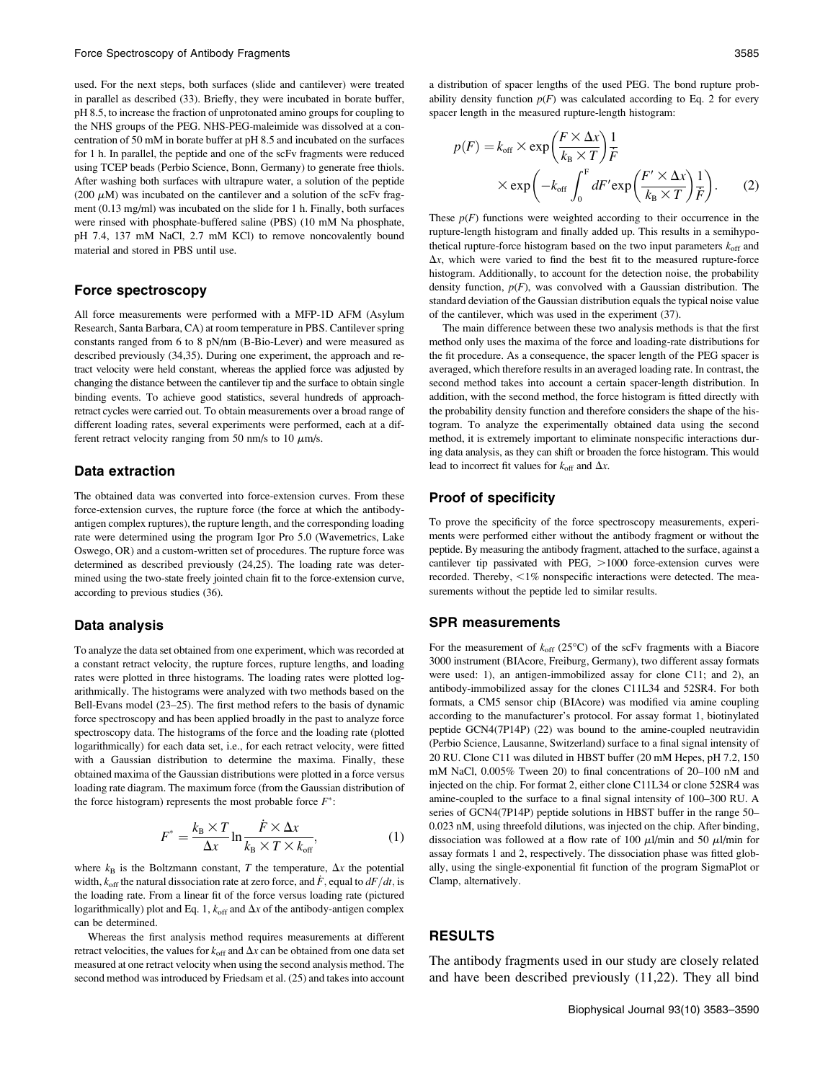used. For the next steps, both surfaces (slide and cantilever) were treated in parallel as described (33). Briefly, they were incubated in borate buffer, pH 8.5, to increase the fraction of unprotonated amino groups for coupling to the NHS groups of the PEG. NHS-PEG-maleimide was dissolved at a concentration of 50 mM in borate buffer at pH 8.5 and incubated on the surfaces for 1 h. In parallel, the peptide and one of the scFv fragments were reduced using TCEP beads (Perbio Science, Bonn, Germany) to generate free thiols. After washing both surfaces with ultrapure water, a solution of the peptide (200  $\mu$ M) was incubated on the cantilever and a solution of the scFv fragment (0.13 mg/ml) was incubated on the slide for 1 h. Finally, both surfaces were rinsed with phosphate-buffered saline (PBS) (10 mM Na phosphate, pH 7.4, 137 mM NaCl, 2.7 mM KCl) to remove noncovalently bound material and stored in PBS until use.

#### Force spectroscopy

All force measurements were performed with a MFP-1D AFM (Asylum Research, Santa Barbara, CA) at room temperature in PBS. Cantilever spring constants ranged from 6 to 8 pN/nm (B-Bio-Lever) and were measured as described previously (34,35). During one experiment, the approach and retract velocity were held constant, whereas the applied force was adjusted by changing the distance between the cantilever tip and the surface to obtain single binding events. To achieve good statistics, several hundreds of approachretract cycles were carried out. To obtain measurements over a broad range of different loading rates, several experiments were performed, each at a different retract velocity ranging from 50 nm/s to 10  $\mu$ m/s.

## Data extraction

The obtained data was converted into force-extension curves. From these force-extension curves, the rupture force (the force at which the antibodyantigen complex ruptures), the rupture length, and the corresponding loading rate were determined using the program Igor Pro 5.0 (Wavemetrics, Lake Oswego, OR) and a custom-written set of procedures. The rupture force was determined as described previously (24,25). The loading rate was determined using the two-state freely jointed chain fit to the force-extension curve, according to previous studies (36).

#### Data analysis

To analyze the data set obtained from one experiment, which was recorded at a constant retract velocity, the rupture forces, rupture lengths, and loading rates were plotted in three histograms. The loading rates were plotted logarithmically. The histograms were analyzed with two methods based on the Bell-Evans model (23–25). The first method refers to the basis of dynamic force spectroscopy and has been applied broadly in the past to analyze force spectroscopy data. The histograms of the force and the loading rate (plotted logarithmically) for each data set, i.e., for each retract velocity, were fitted with a Gaussian distribution to determine the maxima. Finally, these obtained maxima of the Gaussian distributions were plotted in a force versus loading rate diagram. The maximum force (from the Gaussian distribution of the force histogram) represents the most probable force  $F^*$ :

$$
F^* = \frac{k_B \times T}{\Delta x} \ln \frac{\dot{F} \times \Delta x}{k_B \times T \times k_{\text{off}}},\tag{1}
$$

where  $k_B$  is the Boltzmann constant, T the temperature,  $\Delta x$  the potential width,  $k_{off}$  the natural dissociation rate at zero force, and  $\dot{F}$ , equal to  $dF/dt$ , is the loading rate. From a linear fit of the force versus loading rate (pictured logarithmically) plot and Eq. 1,  $k_{off}$  and  $\Delta x$  of the antibody-antigen complex can be determined.

Whereas the first analysis method requires measurements at different retract velocities, the values for  $k_{\text{off}}$  and  $\Delta x$  can be obtained from one data set measured at one retract velocity when using the second analysis method. The second method was introduced by Friedsam et al. (25) and takes into account

a distribution of spacer lengths of the used PEG. The bond rupture probability density function  $p(F)$  was calculated according to Eq. 2 for every spacer length in the measured rupture-length histogram:

$$
p(F) = k_{\text{off}} \times \exp\left(\frac{F \times \Delta x}{k_{\text{B}} \times T}\right) \frac{1}{\dot{F}}
$$
  
 
$$
\times \exp\left(-k_{\text{off}} \int_0^F dF' \exp\left(\frac{F' \times \Delta x}{k_{\text{B}} \times T}\right) \frac{1}{\dot{F}}\right).
$$
 (2)

These  $p(F)$  functions were weighted according to their occurrence in the rupture-length histogram and finally added up. This results in a semihypothetical rupture-force histogram based on the two input parameters  $k_{\text{off}}$  and  $\Delta x$ , which were varied to find the best fit to the measured rupture-force histogram. Additionally, to account for the detection noise, the probability density function,  $p(F)$ , was convolved with a Gaussian distribution. The standard deviation of the Gaussian distribution equals the typical noise value of the cantilever, which was used in the experiment (37).

The main difference between these two analysis methods is that the first method only uses the maxima of the force and loading-rate distributions for the fit procedure. As a consequence, the spacer length of the PEG spacer is averaged, which therefore results in an averaged loading rate. In contrast, the second method takes into account a certain spacer-length distribution. In addition, with the second method, the force histogram is fitted directly with the probability density function and therefore considers the shape of the histogram. To analyze the experimentally obtained data using the second method, it is extremely important to eliminate nonspecific interactions during data analysis, as they can shift or broaden the force histogram. This would lead to incorrect fit values for  $k_{\text{off}}$  and  $\Delta x$ .

## Proof of specificity

To prove the specificity of the force spectroscopy measurements, experiments were performed either without the antibody fragment or without the peptide. By measuring the antibody fragment, attached to the surface, against a cantilever tip passivated with PEG,  $>1000$  force-extension curves were recorded. Thereby,  $\langle 1\%$  nonspecific interactions were detected. The measurements without the peptide led to similar results.

#### SPR measurements

For the measurement of  $k_{\text{off}}$  (25°C) of the scFv fragments with a Biacore 3000 instrument (BIAcore, Freiburg, Germany), two different assay formats were used: 1), an antigen-immobilized assay for clone C11; and 2), an antibody-immobilized assay for the clones C11L34 and 52SR4. For both formats, a CM5 sensor chip (BIAcore) was modified via amine coupling according to the manufacturer's protocol. For assay format 1, biotinylated peptide GCN4(7P14P) (22) was bound to the amine-coupled neutravidin (Perbio Science, Lausanne, Switzerland) surface to a final signal intensity of 20 RU. Clone C11 was diluted in HBST buffer (20 mM Hepes, pH 7.2, 150 mM NaCl, 0.005% Tween 20) to final concentrations of 20–100 nM and injected on the chip. For format 2, either clone C11L34 or clone 52SR4 was amine-coupled to the surface to a final signal intensity of 100–300 RU. A series of GCN4(7P14P) peptide solutions in HBST buffer in the range 50– 0.023 nM, using threefold dilutions, was injected on the chip. After binding, dissociation was followed at a flow rate of 100  $\mu$ l/min and 50  $\mu$ l/min for assay formats 1 and 2, respectively. The dissociation phase was fitted globally, using the single-exponential fit function of the program SigmaPlot or Clamp, alternatively.

## RESULTS

The antibody fragments used in our study are closely related and have been described previously (11,22). They all bind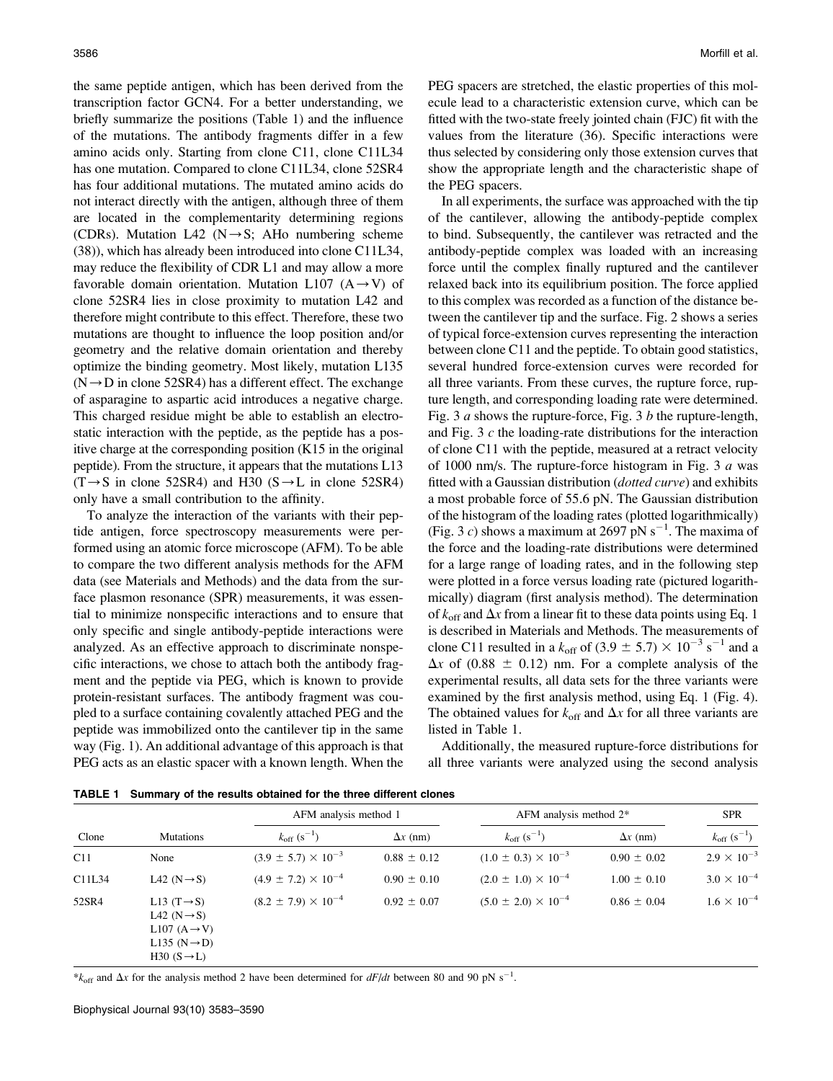the same peptide antigen, which has been derived from the transcription factor GCN4. For a better understanding, we briefly summarize the positions (Table 1) and the influence of the mutations. The antibody fragments differ in a few amino acids only. Starting from clone C11, clone C11L34 has one mutation. Compared to clone C11L34, clone 52SR4 has four additional mutations. The mutated amino acids do not interact directly with the antigen, although three of them are located in the complementarity determining regions (CDRs). Mutation L42 ( $N \rightarrow S$ ; AHo numbering scheme (38)), which has already been introduced into clone C11L34, may reduce the flexibility of CDR L1 and may allow a more favorable domain orientation. Mutation L107  $(A \rightarrow V)$  of clone 52SR4 lies in close proximity to mutation L42 and therefore might contribute to this effect. Therefore, these two mutations are thought to influence the loop position and/or geometry and the relative domain orientation and thereby optimize the binding geometry. Most likely, mutation L135  $(N \rightarrow D)$  in clone 52SR4) has a different effect. The exchange of asparagine to aspartic acid introduces a negative charge. This charged residue might be able to establish an electrostatic interaction with the peptide, as the peptide has a positive charge at the corresponding position (K15 in the original peptide). From the structure, it appears that the mutations L13  $(T \rightarrow S$  in clone 52SR4) and H30 (S $\rightarrow$ L in clone 52SR4) only have a small contribution to the affinity.

To analyze the interaction of the variants with their peptide antigen, force spectroscopy measurements were performed using an atomic force microscope (AFM). To be able to compare the two different analysis methods for the AFM data (see Materials and Methods) and the data from the surface plasmon resonance (SPR) measurements, it was essential to minimize nonspecific interactions and to ensure that only specific and single antibody-peptide interactions were analyzed. As an effective approach to discriminate nonspecific interactions, we chose to attach both the antibody fragment and the peptide via PEG, which is known to provide protein-resistant surfaces. The antibody fragment was coupled to a surface containing covalently attached PEG and the peptide was immobilized onto the cantilever tip in the same way (Fig. 1). An additional advantage of this approach is that PEG acts as an elastic spacer with a known length. When the PEG spacers are stretched, the elastic properties of this molecule lead to a characteristic extension curve, which can be fitted with the two-state freely jointed chain (FJC) fit with the values from the literature (36). Specific interactions were thus selected by considering only those extension curves that show the appropriate length and the characteristic shape of the PEG spacers.

In all experiments, the surface was approached with the tip of the cantilever, allowing the antibody-peptide complex to bind. Subsequently, the cantilever was retracted and the antibody-peptide complex was loaded with an increasing force until the complex finally ruptured and the cantilever relaxed back into its equilibrium position. The force applied to this complex was recorded as a function of the distance between the cantilever tip and the surface. Fig. 2 shows a series of typical force-extension curves representing the interaction between clone C11 and the peptide. To obtain good statistics, several hundred force-extension curves were recorded for all three variants. From these curves, the rupture force, rupture length, and corresponding loading rate were determined. Fig. 3  $\alpha$  shows the rupture-force, Fig. 3  $\beta$  the rupture-length, and Fig. 3  $c$  the loading-rate distributions for the interaction of clone C11 with the peptide, measured at a retract velocity of 1000 nm/s. The rupture-force histogram in Fig.  $3a$  was fitted with a Gaussian distribution (*dotted curve*) and exhibits a most probable force of 55.6 pN. The Gaussian distribution of the histogram of the loading rates (plotted logarithmically) (Fig. 3 c) shows a maximum at 2697 pN  $s^{-1}$ . The maxima of the force and the loading-rate distributions were determined for a large range of loading rates, and in the following step were plotted in a force versus loading rate (pictured logarithmically) diagram (first analysis method). The determination of  $k_{off}$  and  $\Delta x$  from a linear fit to these data points using Eq. 1 is described in Materials and Methods. The measurements of clone C11 resulted in a  $k_{off}$  of (3.9  $\pm$  5.7)  $\times$  10<sup>-3</sup> s<sup>-1</sup> and a  $\Delta x$  of (0.88  $\pm$  0.12) nm. For a complete analysis of the experimental results, all data sets for the three variants were examined by the first analysis method, using Eq. 1 (Fig. 4). The obtained values for  $k_{off}$  and  $\Delta x$  for all three variants are listed in Table 1.

Additionally, the measured rupture-force distributions for all three variants were analyzed using the second analysis

| Clone  | <b>Mutations</b>                                                                                                                        | AFM analysis method 1            |                 | AFM analysis method $2*$         |                 | <b>SPR</b>                       |
|--------|-----------------------------------------------------------------------------------------------------------------------------------------|----------------------------------|-----------------|----------------------------------|-----------------|----------------------------------|
|        |                                                                                                                                         | $k_{\rm off}$ (s <sup>-1</sup> ) | $\Delta x$ (nm) | $k_{\rm off}$ (s <sup>-1</sup> ) | $\Delta x$ (nm) | $k_{\rm off}$ (s <sup>-1</sup> ) |
| C11    | None                                                                                                                                    | $(3.9 \pm 5.7) \times 10^{-3}$   | $0.88 \pm 0.12$ | $(1.0 \pm 0.3) \times 10^{-3}$   | $0.90 \pm 0.02$ | $2.9 \times 10^{-3}$             |
| C11L34 | L42 $(N \rightarrow S)$                                                                                                                 | $(4.9 \pm 7.2) \times 10^{-4}$   | $0.90 \pm 0.10$ | $(2.0 \pm 1.0) \times 10^{-4}$   | $1.00 \pm 0.10$ | $3.0 \times 10^{-4}$             |
| 52SR4  | L13 $(T \rightarrow S)$<br>L42 $(N \rightarrow S)$<br>L107 $(A \rightarrow V)$<br>L135 ( $N \rightarrow D$ )<br>H30 $(S \rightarrow L)$ | $(8.2 \pm 7.9) \times 10^{-4}$   | $0.92 \pm 0.07$ | $(5.0 \pm 2.0) \times 10^{-4}$   | $0.86 \pm 0.04$ | $1.6 \times 10^{-4}$             |

TABLE 1 Summary of the results obtained for the three different clones

\* $k_{\text{off}}$  and  $\Delta x$  for the analysis method 2 have been determined for  $dF/dt$  between 80 and 90 pN s<sup>-1</sup>.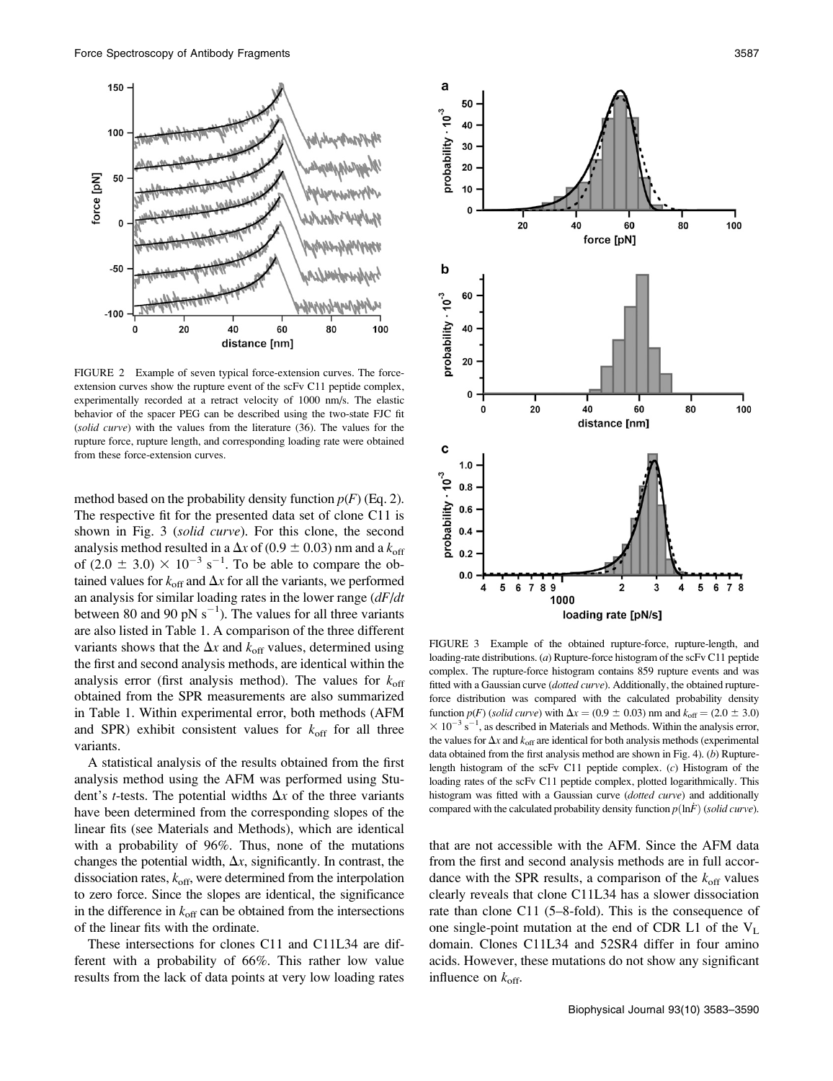

FIGURE 2 Example of seven typical force-extension curves. The forceextension curves show the rupture event of the scFv C11 peptide complex, experimentally recorded at a retract velocity of 1000 nm/s. The elastic behavior of the spacer PEG can be described using the two-state FJC fit (solid curve) with the values from the literature (36). The values for the rupture force, rupture length, and corresponding loading rate were obtained from these force-extension curves.

method based on the probability density function  $p(F)$  (Eq. 2). The respective fit for the presented data set of clone C11 is shown in Fig. 3 (solid curve). For this clone, the second analysis method resulted in a  $\Delta x$  of (0.9  $\pm$  0.03) nm and a  $k_{\text{off}}$ of  $(2.0 \pm 3.0) \times 10^{-3}$  s<sup>-1</sup>. To be able to compare the obtained values for  $k_{\text{off}}$  and  $\Delta x$  for all the variants, we performed an analysis for similar loading rates in the lower range  $\frac{dF}{dt}$ between 80 and 90 pN  $s^{-1}$ ). The values for all three variants are also listed in Table 1. A comparison of the three different variants shows that the  $\Delta x$  and  $k_{\text{off}}$  values, determined using the first and second analysis methods, are identical within the analysis error (first analysis method). The values for  $k_{off}$ obtained from the SPR measurements are also summarized in Table 1. Within experimental error, both methods (AFM and SPR) exhibit consistent values for  $k_{off}$  for all three variants.

A statistical analysis of the results obtained from the first analysis method using the AFM was performed using Student's *t*-tests. The potential widths  $\Delta x$  of the three variants have been determined from the corresponding slopes of the linear fits (see Materials and Methods), which are identical with a probability of 96%. Thus, none of the mutations changes the potential width,  $\Delta x$ , significantly. In contrast, the dissociation rates,  $k_{\text{off}}$ , were determined from the interpolation to zero force. Since the slopes are identical, the significance in the difference in  $k_{\text{off}}$  can be obtained from the intersections of the linear fits with the ordinate.

These intersections for clones C11 and C11L34 are different with a probability of 66%. This rather low value results from the lack of data points at very low loading rates



FIGURE 3 Example of the obtained rupture-force, rupture-length, and loading-rate distributions. (a) Rupture-force histogram of the scFv C11 peptide complex. The rupture-force histogram contains 859 rupture events and was fitted with a Gaussian curve (dotted curve). Additionally, the obtained ruptureforce distribution was compared with the calculated probability density function  $p(F)$  (solid curve) with  $\Delta x = (0.9 \pm 0.03)$  nm and  $k_{\text{off}} = (2.0 \pm 3.0)$  $\times$  10<sup>-3</sup> s<sup>-1</sup>, as described in Materials and Methods. Within the analysis error, the values for  $\Delta x$  and  $k_{\text{off}}$  are identical for both analysis methods (experimental data obtained from the first analysis method are shown in Fig. 4). (b) Rupturelength histogram of the scFv C11 peptide complex. (c) Histogram of the loading rates of the scFv C11 peptide complex, plotted logarithmically. This histogram was fitted with a Gaussian curve (dotted curve) and additionally compared with the calculated probability density function  $p(\ln F)$  (solid curve).

that are not accessible with the AFM. Since the AFM data from the first and second analysis methods are in full accordance with the SPR results, a comparison of the  $k_{\text{off}}$  values clearly reveals that clone C11L34 has a slower dissociation rate than clone C11 (5–8-fold). This is the consequence of one single-point mutation at the end of CDR L1 of the  $V<sub>L</sub>$ domain. Clones C11L34 and 52SR4 differ in four amino acids. However, these mutations do not show any significant influence on  $k_{\text{off}}$ .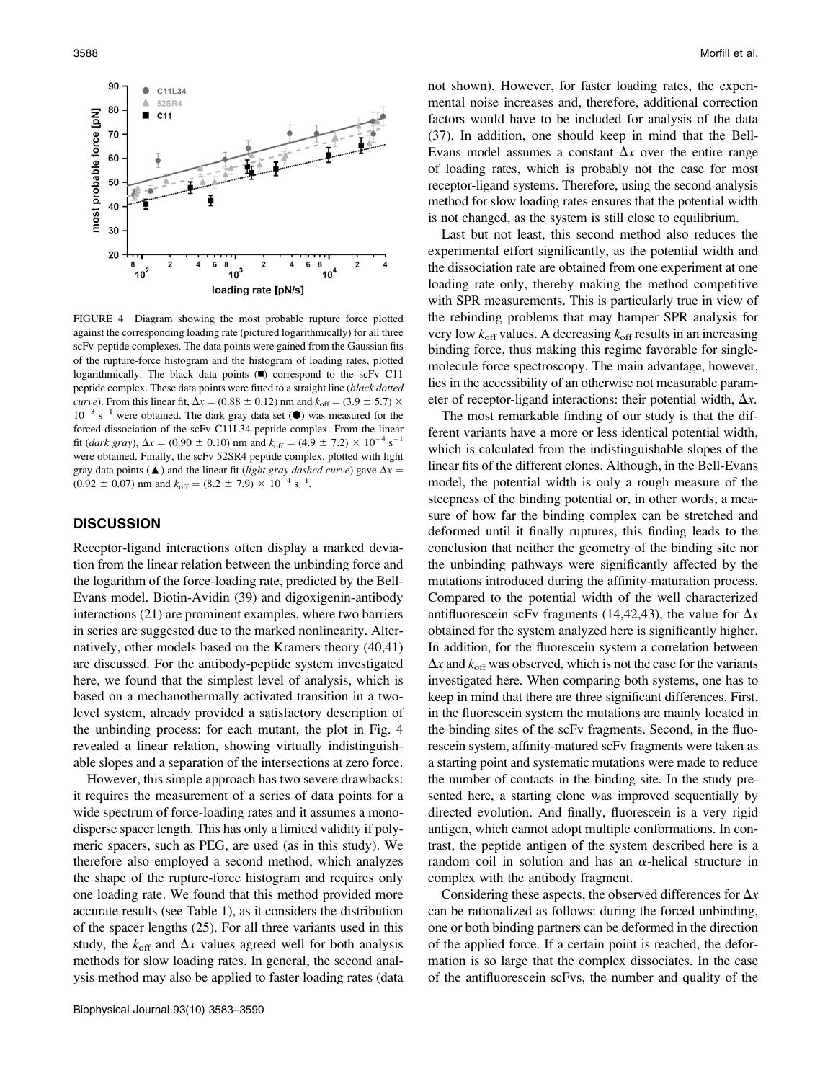

FIGURE 4 Diagram showing the most probable rupture force plotted against the corresponding loading rate (pictured logarithmically) for all three scFv-peptide complexes. The data points were gained from the Gaussian fits of the rupture-force histogram and the histogram of loading rates, plotted logarithmically. The black data points  $($  $)$  correspond to the scFv C11 peptide complex. These data points were fitted to a straight line (black dotted *curve*). From this linear fit,  $\Delta x = (0.88 \pm 0.12)$  nm and  $k_{\text{off}} = (3.9 \pm 5.7) \times$  $10^{-3}$  s<sup>-1</sup> were obtained. The dark gray data set ( $\bullet$ ) was measured for the forced dissociation of the scFv C11L34 peptide complex. From the linear fit (*dark gray*),  $\Delta x = (0.90 \pm 0.10)$  nm and  $k_{off} = (4.9 \pm 7.2) \times 10^{-4}$  s<sup>-1</sup> were obtained. Finally, the scFv 52SR4 peptide complex, plotted with light gray data points ( $\triangle$ ) and the linear fit (light gray dashed curve) gave  $\Delta x =$  $(0.92 \pm 0.07)$  nm and  $k_{off} = (8.2 \pm 7.9) \times 10^{-4}$  s<sup>-1</sup>.

## **DISCUSSION**

Receptor-ligand interactions often display a marked deviation from the linear relation between the unbinding force and the logarithm of the force-loading rate, predicted by the Bell-Evans model. Biotin-Avidin (39) and digoxigenin-antibody interactions (21) are prominent examples, where two barriers in series are suggested due to the marked nonlinearity. Alternatively, other models based on the Kramers theory (40,41) are discussed. For the antibody-peptide system investigated here, we found that the simplest level of analysis, which is based on a mechanothermally activated transition in a twolevel system, already provided a satisfactory description of the unbinding process: for each mutant, the plot in Fig. 4 revealed a linear relation, showing virtually indistinguishable slopes and a separation of the intersections at zero force.

However, this simple approach has two severe drawbacks: it requires the measurement of a series of data points for a wide spectrum of force-loading rates and it assumes a monodisperse spacer length. This has only a limited validity if polymeric spacers, such as PEG, are used (as in this study). We therefore also employed a second method, which analyzes the shape of the rupture-force histogram and requires only one loading rate. We found that this method provided more accurate results (see Table 1), as it considers the distribution of the spacer lengths (25). For all three variants used in this study, the  $k_{off}$  and  $\Delta x$  values agreed well for both analysis methods for slow loading rates. In general, the second analysis method may also be applied to faster loading rates (data not shown). However, for faster loading rates, the experimental noise increases and, therefore, additional correction factors would have to be included for analysis of the data (37). In addition, one should keep in mind that the Bell-Evans model assumes a constant  $\Delta x$  over the entire range of loading rates, which is probably not the case for most receptor-ligand systems. Therefore, using the second analysis method for slow loading rates ensures that the potential width is not changed, as the system is still close to equilibrium.

Last but not least, this second method also reduces the experimental effort significantly, as the potential width and the dissociation rate are obtained from one experiment at one loading rate only, thereby making the method competitive with SPR measurements. This is particularly true in view of the rebinding problems that may hamper SPR analysis for very low  $k_{off}$  values. A decreasing  $k_{off}$  results in an increasing binding force, thus making this regime favorable for singlemolecule force spectroscopy. The main advantage, however, lies in the accessibility of an otherwise not measurable parameter of receptor-ligand interactions: their potential width,  $\Delta x$ .

The most remarkable finding of our study is that the different variants have a more or less identical potential width, which is calculated from the indistinguishable slopes of the linear fits of the different clones. Although, in the Bell-Evans model, the potential width is only a rough measure of the steepness of the binding potential or, in other words, a measure of how far the binding complex can be stretched and deformed until it finally ruptures, this finding leads to the conclusion that neither the geometry of the binding site nor the unbinding pathways were significantly affected by the mutations introduced during the affinity-maturation process. Compared to the potential width of the well characterized antifluorescein scFv fragments (14,42,43), the value for  $\Delta x$ obtained for the system analyzed here is significantly higher. In addition, for the fluorescein system a correlation between  $\Delta x$  and  $k_{\text{off}}$  was observed, which is not the case for the variants investigated here. When comparing both systems, one has to keep in mind that there are three significant differences. First, in the fluorescein system the mutations are mainly located in the binding sites of the scFv fragments. Second, in the fluorescein system, affinity-matured scFv fragments were taken as a starting point and systematic mutations were made to reduce the number of contacts in the binding site. In the study presented here, a starting clone was improved sequentially by directed evolution. And finally, fluorescein is a very rigid antigen, which cannot adopt multiple conformations. In contrast, the peptide antigen of the system described here is a random coil in solution and has an  $\alpha$ -helical structure in complex with the antibody fragment.

Considering these aspects, the observed differences for  $\Delta x$ can be rationalized as follows: during the forced unbinding, one or both binding partners can be deformed in the direction of the applied force. If a certain point is reached, the deformation is so large that the complex dissociates. In the case of the antifluorescein scFvs, the number and quality of the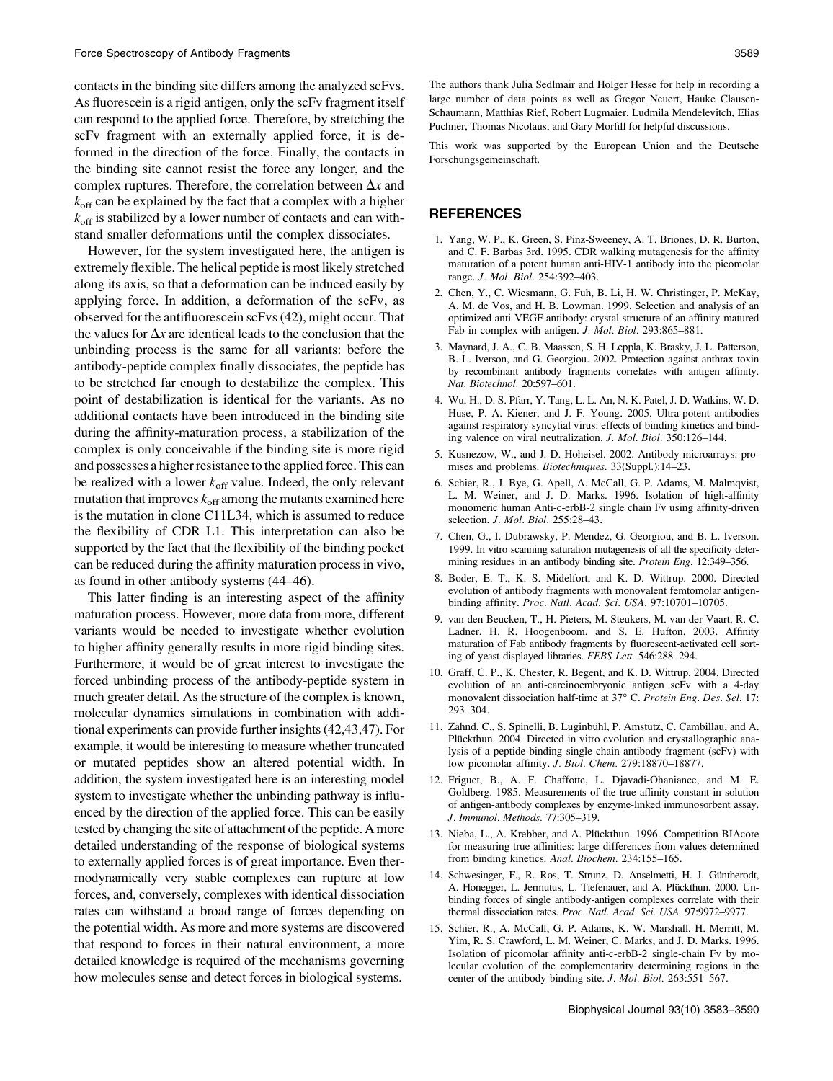contacts in the binding site differs among the analyzed scFvs. As fluorescein is a rigid antigen, only the scFv fragment itself can respond to the applied force. Therefore, by stretching the scFv fragment with an externally applied force, it is deformed in the direction of the force. Finally, the contacts in the binding site cannot resist the force any longer, and the complex ruptures. Therefore, the correlation between  $\Delta x$  and  $k_{\text{off}}$  can be explained by the fact that a complex with a higher  $k_{\text{off}}$  is stabilized by a lower number of contacts and can withstand smaller deformations until the complex dissociates.

However, for the system investigated here, the antigen is extremely flexible. The helical peptide is most likely stretched along its axis, so that a deformation can be induced easily by applying force. In addition, a deformation of the scFv, as observed for the antifluorescein scFvs (42), might occur. That the values for  $\Delta x$  are identical leads to the conclusion that the unbinding process is the same for all variants: before the antibody-peptide complex finally dissociates, the peptide has to be stretched far enough to destabilize the complex. This point of destabilization is identical for the variants. As no additional contacts have been introduced in the binding site during the affinity-maturation process, a stabilization of the complex is only conceivable if the binding site is more rigid and possesses a higher resistance to the applied force. This can be realized with a lower  $k_{off}$  value. Indeed, the only relevant mutation that improves  $k_{\text{off}}$  among the mutants examined here is the mutation in clone C11L34, which is assumed to reduce the flexibility of CDR L1. This interpretation can also be supported by the fact that the flexibility of the binding pocket can be reduced during the affinity maturation process in vivo, as found in other antibody systems (44–46).

This latter finding is an interesting aspect of the affinity maturation process. However, more data from more, different variants would be needed to investigate whether evolution to higher affinity generally results in more rigid binding sites. Furthermore, it would be of great interest to investigate the forced unbinding process of the antibody-peptide system in much greater detail. As the structure of the complex is known, molecular dynamics simulations in combination with additional experiments can provide further insights (42,43,47). For example, it would be interesting to measure whether truncated or mutated peptides show an altered potential width. In addition, the system investigated here is an interesting model system to investigate whether the unbinding pathway is influenced by the direction of the applied force. This can be easily tested by changing the site of attachment of the peptide. A more detailed understanding of the response of biological systems to externally applied forces is of great importance. Even thermodynamically very stable complexes can rupture at low forces, and, conversely, complexes with identical dissociation rates can withstand a broad range of forces depending on the potential width. As more and more systems are discovered that respond to forces in their natural environment, a more detailed knowledge is required of the mechanisms governing how molecules sense and detect forces in biological systems.

The authors thank Julia Sedlmair and Holger Hesse for help in recording a large number of data points as well as Gregor Neuert, Hauke Clausen-Schaumann, Matthias Rief, Robert Lugmaier, Ludmila Mendelevitch, Elias Puchner, Thomas Nicolaus, and Gary Morfill for helpful discussions.

This work was supported by the European Union and the Deutsche Forschungsgemeinschaft.

## REFERENCES

- 1. Yang, W. P., K. Green, S. Pinz-Sweeney, A. T. Briones, D. R. Burton, and C. F. Barbas 3rd. 1995. CDR walking mutagenesis for the affinity maturation of a potent human anti-HIV-1 antibody into the picomolar range. J. Mol. Biol. 254:392–403.
- 2. Chen, Y., C. Wiesmann, G. Fuh, B. Li, H. W. Christinger, P. McKay, A. M. de Vos, and H. B. Lowman. 1999. Selection and analysis of an optimized anti-VEGF antibody: crystal structure of an affinity-matured Fab in complex with antigen. J. Mol. Biol. 293:865–881.
- 3. Maynard, J. A., C. B. Maassen, S. H. Leppla, K. Brasky, J. L. Patterson, B. L. Iverson, and G. Georgiou. 2002. Protection against anthrax toxin by recombinant antibody fragments correlates with antigen affinity. Nat. Biotechnol. 20:597–601.
- 4. Wu, H., D. S. Pfarr, Y. Tang, L. L. An, N. K. Patel, J. D. Watkins, W. D. Huse, P. A. Kiener, and J. F. Young. 2005. Ultra-potent antibodies against respiratory syncytial virus: effects of binding kinetics and binding valence on viral neutralization. J. Mol. Biol. 350:126–144.
- 5. Kusnezow, W., and J. D. Hoheisel. 2002. Antibody microarrays: promises and problems. Biotechniques. 33(Suppl.):14–23.
- 6. Schier, R., J. Bye, G. Apell, A. McCall, G. P. Adams, M. Malmqvist, L. M. Weiner, and J. D. Marks. 1996. Isolation of high-affinity monomeric human Anti-c-erbB-2 single chain Fv using affinity-driven selection. J. Mol. Biol. 255:28–43.
- 7. Chen, G., I. Dubrawsky, P. Mendez, G. Georgiou, and B. L. Iverson. 1999. In vitro scanning saturation mutagenesis of all the specificity determining residues in an antibody binding site. Protein Eng. 12:349–356.
- 8. Boder, E. T., K. S. Midelfort, and K. D. Wittrup. 2000. Directed evolution of antibody fragments with monovalent femtomolar antigenbinding affinity. Proc. Natl. Acad. Sci. USA. 97:10701–10705.
- 9. van den Beucken, T., H. Pieters, M. Steukers, M. van der Vaart, R. C. Ladner, H. R. Hoogenboom, and S. E. Hufton. 2003. Affinity maturation of Fab antibody fragments by fluorescent-activated cell sorting of yeast-displayed libraries. FEBS Lett. 546:288–294.
- 10. Graff, C. P., K. Chester, R. Begent, and K. D. Wittrup. 2004. Directed evolution of an anti-carcinoembryonic antigen scFv with a 4-day monovalent dissociation half-time at 37° C. Protein Eng. Des. Sel. 17: 293–304.
- 11. Zahnd, C., S. Spinelli, B. Luginbühl, P. Amstutz, C. Cambillau, and A. Plückthun. 2004. Directed in vitro evolution and crystallographic analysis of a peptide-binding single chain antibody fragment (scFv) with low picomolar affinity. J. Biol. Chem. 279:18870–18877.
- 12. Friguet, B., A. F. Chaffotte, L. Djavadi-Ohaniance, and M. E. Goldberg. 1985. Measurements of the true affinity constant in solution of antigen-antibody complexes by enzyme-linked immunosorbent assay. J. Immunol. Methods. 77:305–319.
- 13. Nieba, L., A. Krebber, and A. Plückthun. 1996. Competition BIAcore for measuring true affinities: large differences from values determined from binding kinetics. Anal. Biochem. 234:155–165.
- 14. Schwesinger, F., R. Ros, T. Strunz, D. Anselmetti, H. J. Güntherodt, A. Honegger, L. Jermutus, L. Tiefenauer, and A. Plückthun. 2000. Unbinding forces of single antibody-antigen complexes correlate with their thermal dissociation rates. Proc. Natl. Acad. Sci. USA. 97:9972–9977.
- 15. Schier, R., A. McCall, G. P. Adams, K. W. Marshall, H. Merritt, M. Yim, R. S. Crawford, L. M. Weiner, C. Marks, and J. D. Marks. 1996. Isolation of picomolar affinity anti-c-erbB-2 single-chain Fv by molecular evolution of the complementarity determining regions in the center of the antibody binding site. J. Mol. Biol. 263:551–567.